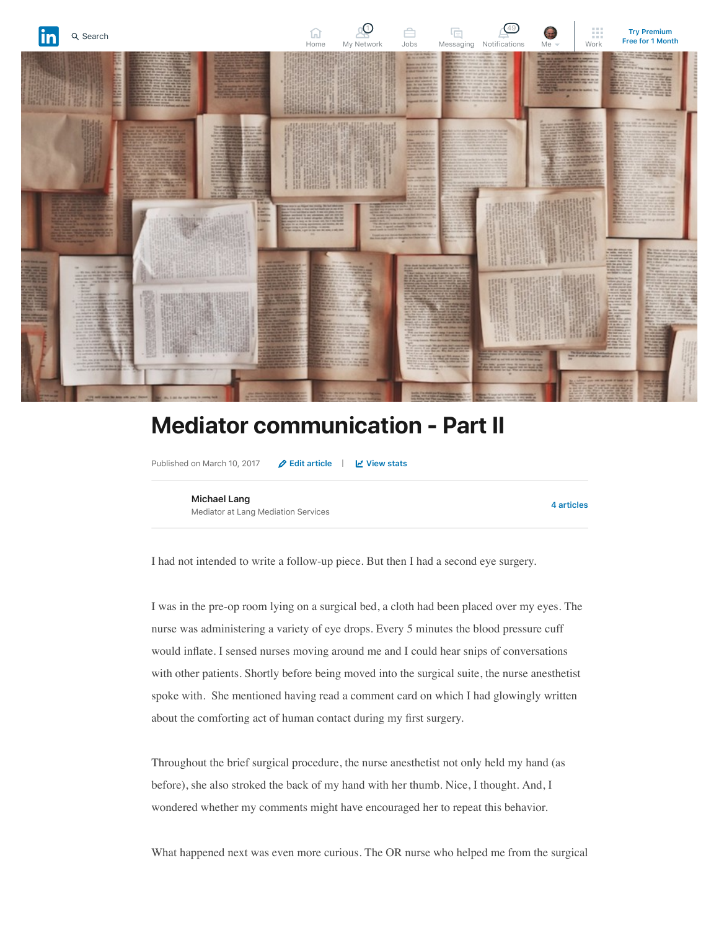

## **Mediator communication - Part II**

Published on March 10, 2017 **[Edit article](https://www.linkedin.com/post/edit/6246164405994745856)** | **[View stats](https://www.linkedin.com/pulse/mediator-communication-part-ii-michael-lang/ca/post-analytics/urn:li:linkedInArticle:6246164405994745856/)**

**[Michael Lang](https://www.linkedin.com/in/mediatorlang/)** Mediator at Lang Mediation Services

**[4 articles](https://www.linkedin.com/in/mediatorlang/detail/recent-activity/posts/)**

I had not intended to write a follow-up piece. But then I had a second eye surgery.

I was in the pre-op room lying on a surgical bed, a cloth had been placed over my eyes. The nurse was administering a variety of eye drops. Every 5 minutes the blood pressure cuff would inflate. I sensed nurses moving around me and I could hear snips of conversations with other patients. Shortly before being moved into the surgical suite, the nurse anesthetist spoke with. She mentioned having read a comment card on which I had glowingly written about the comforting act of human contact during my first surgery.

Throughout the brief surgical procedure, the nurse anesthetist not only held my hand (as before), she also stroked the back of my hand with her thumb. Nice, I thought. And, I wondered whether my comments might have encouraged her to repeat this behavior.

What happened next was even more curious. The OR nurse who helped me from the surgical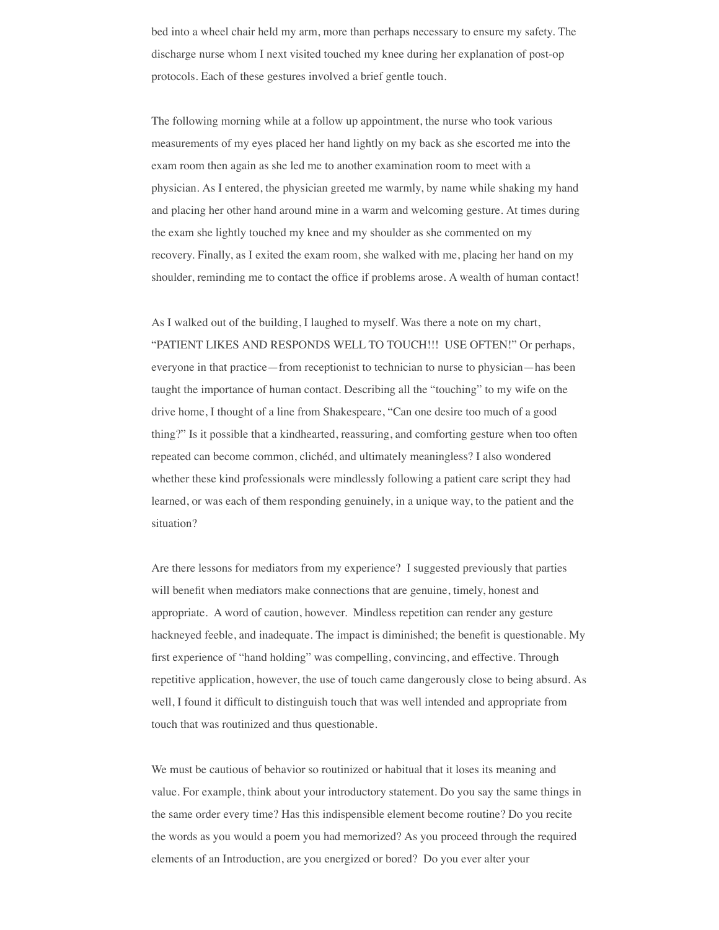bed into a wheel chair held my arm, more than perhaps necessary to ensure my safety. The discharge nurse whom I next visited touched my knee during her explanation of post-op protocols. Each of these gestures involved a brief gentle touch.

The following morning while at a follow up appointment, the nurse who took various measurements of my eyes placed her hand lightly on my back as she escorted me into the exam room then again as she led me to another examination room to meet with a physician. As I entered, the physician greeted me warmly, by name while shaking my hand and placing her other hand around mine in a warm and welcoming gesture. At times during the exam she lightly touched my knee and my shoulder as she commented on my recovery. Finally, as I exited the exam room, she walked with me, placing her hand on my shoulder, reminding me to contact the office if problems arose. A wealth of human contact!

As I walked out of the building, I laughed to myself. Was there a note on my chart, "PATIENT LIKES AND RESPONDS WELL TO TOUCH!!! USE OFTEN!" Or perhaps, everyone in that practice—from receptionist to technician to nurse to physician—has been taught the importance of human contact. Describing all the "touching" to my wife on the drive home, I thought of a line from Shakespeare, "Can one desire too much of a good thing?" Is it possible that a kindhearted, reassuring, and comforting gesture when too often repeated can become common, clichéd, and ultimately meaningless? I also wondered whether these kind professionals were mindlessly following a patient care script they had learned, or was each of them responding genuinely, in a unique way, to the patient and the situation?

Are there lessons for mediators from my experience? I suggested previously that parties will benefit when mediators make connections that are genuine, timely, honest and appropriate. A word of caution, however. Mindless repetition can render any gesture hackneyed feeble, and inadequate. The impact is diminished; the benefit is questionable. My first experience of "hand holding" was compelling, convincing, and effective. Through repetitive application, however, the use of touch came dangerously close to being absurd. As well, I found it difficult to distinguish touch that was well intended and appropriate from touch that was routinized and thus questionable.

We must be cautious of behavior so routinized or habitual that it loses its meaning and value. For example, think about your introductory statement. Do you say the same things in the same order every time? Has this indispensible element become routine? Do you recite the words as you would a poem you had memorized? As you proceed through the required elements of an Introduction, are you energized or bored? Do you ever alter your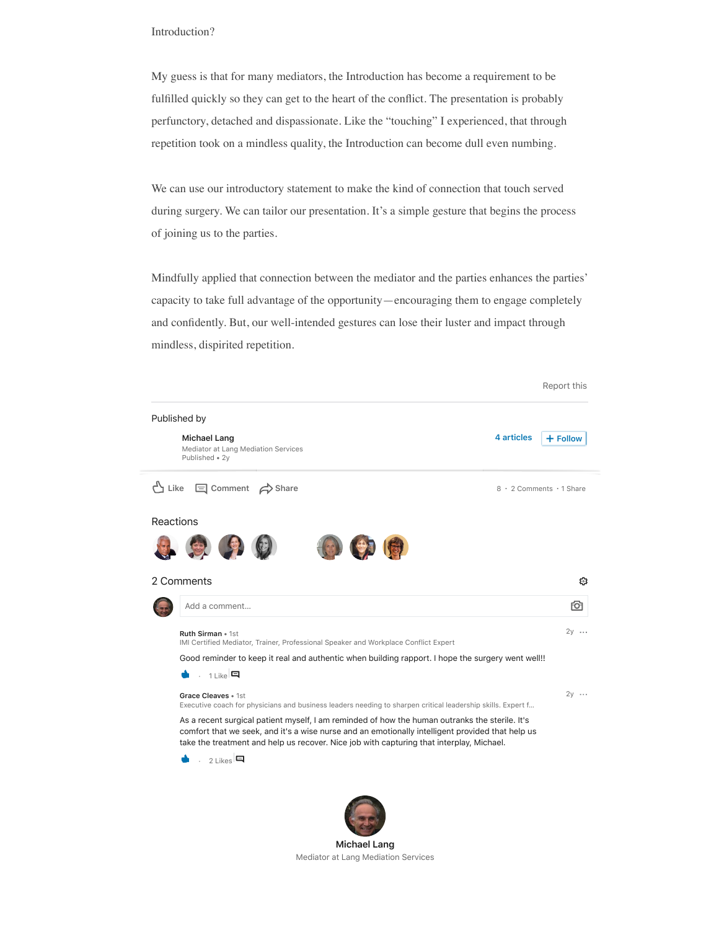## Introduction?

My guess is that for many mediators, the Introduction has become a requirement to be fulfilled quickly so they can get to the heart of the conflict. The presentation is probably perfunctory, detached and dispassionate. Like the "touching" I experienced, that through repetition took on a mindless quality, the Introduction can become dull even numbing.

We can use our introductory statement to make the kind of connection that touch served during surgery. We can tailor our presentation. It's a simple gesture that begins the process of joining us to the parties.

Mindfully applied that connection between the mediator and the parties enhances the parties' capacity to take full advantage of the opportunity—encouraging them to engage completely and confidently. But, our well-intended gestures can lose their luster and impact through mindless, dispirited repetition.

Report this

| Published by                                                                 |                                                                                                                                                                                                                                                                                                |                          |
|------------------------------------------------------------------------------|------------------------------------------------------------------------------------------------------------------------------------------------------------------------------------------------------------------------------------------------------------------------------------------------|--------------------------|
| <b>Michael Lang</b><br>Mediator at Lang Mediation Services<br>Published • 2y | 4 articles                                                                                                                                                                                                                                                                                     | $+$ Follow               |
| 凸 Like<br>$\Box$ Comment $\leftrightarrow$ Share                             |                                                                                                                                                                                                                                                                                                | 8 · 2 Comments · 1 Share |
| Reactions                                                                    |                                                                                                                                                                                                                                                                                                |                          |
| 激光                                                                           |                                                                                                                                                                                                                                                                                                |                          |
|                                                                              |                                                                                                                                                                                                                                                                                                |                          |
| 2 Comments                                                                   |                                                                                                                                                                                                                                                                                                | છ                        |
| Add a comment                                                                |                                                                                                                                                                                                                                                                                                | FО                       |
| Ruth Sirman • 1st                                                            |                                                                                                                                                                                                                                                                                                | $2y \cdots$              |
|                                                                              | IMI Certified Mediator, Trainer, Professional Speaker and Workplace Conflict Expert                                                                                                                                                                                                            |                          |
|                                                                              | Good reminder to keep it real and authentic when building rapport. I hope the surgery went well!!                                                                                                                                                                                              |                          |
| . $1$ Like                                                                   |                                                                                                                                                                                                                                                                                                |                          |
| Grace Cleaves • 1st                                                          |                                                                                                                                                                                                                                                                                                | $2v \cdots$              |
|                                                                              | Executive coach for physicians and business leaders needing to sharpen critical leadership skills. Expert f                                                                                                                                                                                    |                          |
|                                                                              | As a recent surgical patient myself, I am reminded of how the human outranks the sterile. It's<br>comfort that we seek, and it's a wise nurse and an emotionally intelligent provided that help us<br>take the treatment and help us recover. Nice job with capturing that interplay, Michael. |                          |
| , 21ikes                                                                     |                                                                                                                                                                                                                                                                                                |                          |
|                                                                              |                                                                                                                                                                                                                                                                                                |                          |
|                                                                              |                                                                                                                                                                                                                                                                                                |                          |
|                                                                              |                                                                                                                                                                                                                                                                                                |                          |
|                                                                              |                                                                                                                                                                                                                                                                                                |                          |

**[Michael Lang](https://www.linkedin.com/in/mediatorlang/)** Mediator at Lang Mediation Services